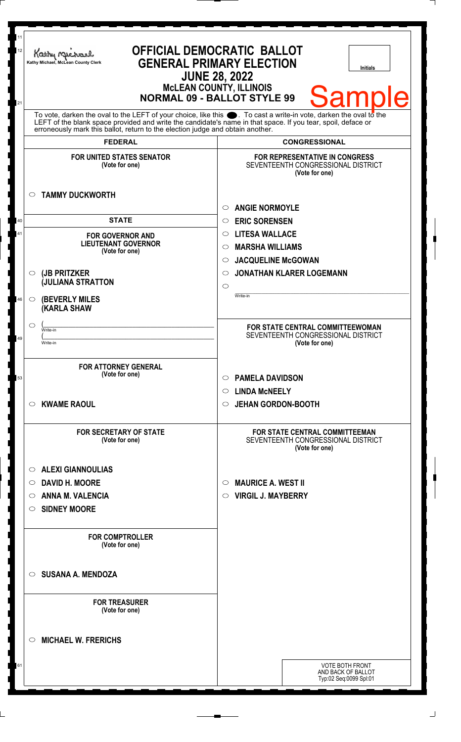| 11<br>12<br>21 | Kathy Michael<br>Kathy Michael, McLean County Clerk                                                                                                                                                                                                                                                                    | <b>OFFICIAL DEMOCRATIC BALLOT</b><br><b>GENERAL PRIMARY ELECTION</b><br><b>Initials</b><br><b>JUNE 28, 2022</b><br><b>MCLEAN COUNTY, ILLINOIS</b><br><b>Samp</b><br><b>NORMAL 09 - BALLOT STYLE 99</b> |
|----------------|------------------------------------------------------------------------------------------------------------------------------------------------------------------------------------------------------------------------------------------------------------------------------------------------------------------------|--------------------------------------------------------------------------------------------------------------------------------------------------------------------------------------------------------|
|                | To vote, darken the oval to the LEFT of your choice, like this $\bullet$ . To cast a write-in vote, darken the oval to the LEFT of the blank space provided and write the candidate's name in that space. If you tear, spoil, deface<br>erroneously mark this ballot, return to the election judge and obtain another. |                                                                                                                                                                                                        |
|                | <b>FEDERAL</b>                                                                                                                                                                                                                                                                                                         | <b>CONGRESSIONAL</b>                                                                                                                                                                                   |
|                | <b>FOR UNITED STATES SENATOR</b><br>(Vote for one)                                                                                                                                                                                                                                                                     | <b>FOR REPRESENTATIVE IN CONGRESS</b><br>SEVENTEENTH CONGRESSIONAL DISTRICT<br>(Vote for one)                                                                                                          |
|                | <b>TAMMY DUCKWORTH</b><br>O                                                                                                                                                                                                                                                                                            | <b>ANGIE NORMOYLE</b><br>$\circ$                                                                                                                                                                       |
| 40             | <b>STATE</b>                                                                                                                                                                                                                                                                                                           | <b>ERIC SORENSEN</b><br>$\circ$                                                                                                                                                                        |
| 41             | <b>FOR GOVERNOR AND</b>                                                                                                                                                                                                                                                                                                | <b>LITESA WALLACE</b><br>$\circ$                                                                                                                                                                       |
|                | <b>LIEUTENANT GOVERNOR</b><br>(Vote for one)                                                                                                                                                                                                                                                                           | <b>MARSHA WILLIAMS</b><br>$\circ$                                                                                                                                                                      |
|                |                                                                                                                                                                                                                                                                                                                        | <b>JACQUELINE McGOWAN</b><br>$\circ$                                                                                                                                                                   |
|                | (JB PRITZKER<br>$\circ$                                                                                                                                                                                                                                                                                                | <b>JONATHAN KLARER LOGEMANN</b><br>$\circ$                                                                                                                                                             |
|                | <b>JULIANA STRATTON</b>                                                                                                                                                                                                                                                                                                | $\circ$                                                                                                                                                                                                |
| 46             | <b>(BEVERLY MILES)</b><br>$\circ$<br><b>(KARLA SHAW</b>                                                                                                                                                                                                                                                                | Write-in                                                                                                                                                                                               |
|                | ◯<br>Write-in                                                                                                                                                                                                                                                                                                          | FOR STATE CENTRAL COMMITTEEWOMAN                                                                                                                                                                       |
| 49             | wnte-in                                                                                                                                                                                                                                                                                                                | SEVENTEENTH CONGRESSIONAL DISTRICT<br>(Vote for one)                                                                                                                                                   |
|                |                                                                                                                                                                                                                                                                                                                        |                                                                                                                                                                                                        |
|                | <b>FOR ATTORNEY GENERAL</b>                                                                                                                                                                                                                                                                                            |                                                                                                                                                                                                        |
| 53             | (Vote for one)                                                                                                                                                                                                                                                                                                         | <b>PAMELA DAVIDSON</b><br>$\circ$                                                                                                                                                                      |
|                |                                                                                                                                                                                                                                                                                                                        | $\circ$ LINDA McNEELY                                                                                                                                                                                  |
|                | <b>KWAME RAOUL</b><br>O                                                                                                                                                                                                                                                                                                | O JEHAN GORDON-BOOTH                                                                                                                                                                                   |
|                | <b>FOR SECRETARY OF STATE</b><br>(Vote for one)                                                                                                                                                                                                                                                                        | <b>FOR STATE CENTRAL COMMITTEEMAN</b><br>SEVENTEENTH CONGRESSIONAL DISTRICT<br>(Vote for one)                                                                                                          |
|                | <b>ALEXI GIANNOULIAS</b><br>$\circ$                                                                                                                                                                                                                                                                                    |                                                                                                                                                                                                        |
|                | <b>DAVID H. MOORE</b><br>$\circ$                                                                                                                                                                                                                                                                                       | <b>MAURICE A. WEST II</b><br>$\circ$                                                                                                                                                                   |
|                | <b>ANNA M. VALENCIA</b><br>O                                                                                                                                                                                                                                                                                           | <b>VIRGIL J. MAYBERRY</b><br>$\circ$                                                                                                                                                                   |
|                | <b>SIDNEY MOORE</b><br>O                                                                                                                                                                                                                                                                                               |                                                                                                                                                                                                        |
|                |                                                                                                                                                                                                                                                                                                                        |                                                                                                                                                                                                        |
|                | <b>FOR COMPTROLLER</b><br>(Vote for one)                                                                                                                                                                                                                                                                               |                                                                                                                                                                                                        |
|                | <b>SUSANA A. MENDOZA</b><br>$\circ$                                                                                                                                                                                                                                                                                    |                                                                                                                                                                                                        |
|                | <b>FOR TREASURER</b><br>(Vote for one)                                                                                                                                                                                                                                                                                 |                                                                                                                                                                                                        |
|                | <b>MICHAEL W. FRERICHS</b><br>O                                                                                                                                                                                                                                                                                        |                                                                                                                                                                                                        |
| 61             |                                                                                                                                                                                                                                                                                                                        | <b>VOTE BOTH FRONT</b>                                                                                                                                                                                 |
|                |                                                                                                                                                                                                                                                                                                                        | AND BACK OF BALLOT<br>Typ:02 Seq:0099 Spl:01                                                                                                                                                           |
|                |                                                                                                                                                                                                                                                                                                                        |                                                                                                                                                                                                        |